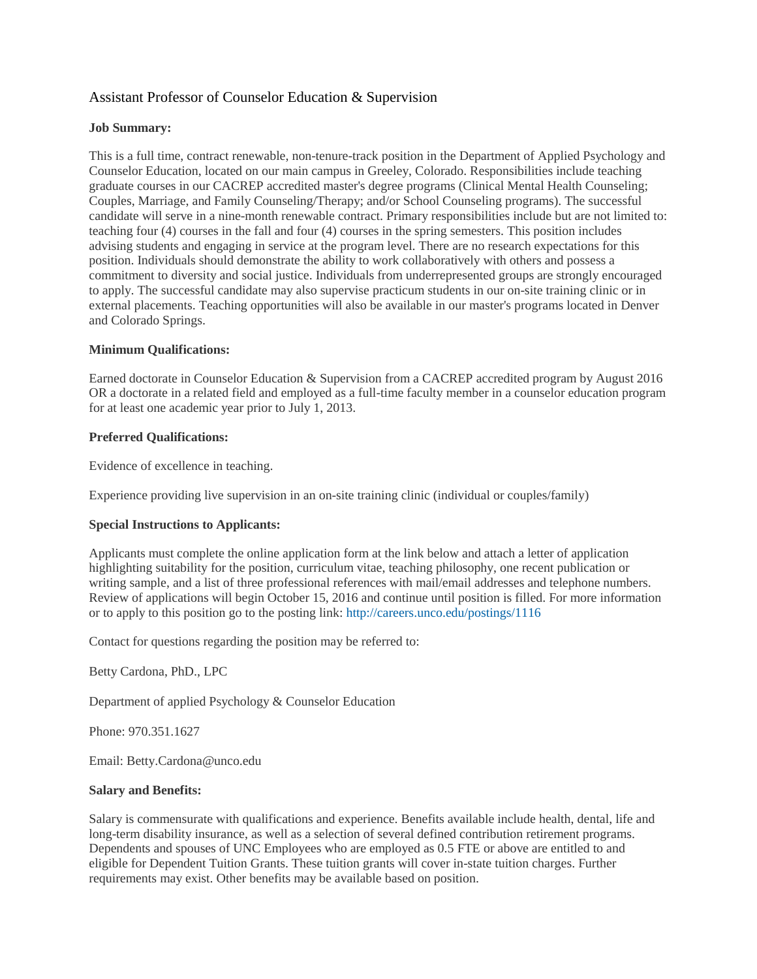## Assistant Professor of Counselor Education & Supervision

#### **Job Summary:**

This is a full time, contract renewable, non-tenure-track position in the Department of Applied Psychology and Counselor Education, located on our main campus in Greeley, Colorado. Responsibilities include teaching graduate courses in our CACREP accredited master's degree programs (Clinical Mental Health Counseling; Couples, Marriage, and Family Counseling/Therapy; and/or School Counseling programs). The successful candidate will serve in a nine-month renewable contract. Primary responsibilities include but are not limited to: teaching four (4) courses in the fall and four (4) courses in the spring semesters. This position includes advising students and engaging in service at the program level. There are no research expectations for this position. Individuals should demonstrate the ability to work collaboratively with others and possess a commitment to diversity and social justice. Individuals from underrepresented groups are strongly encouraged to apply. The successful candidate may also supervise practicum students in our on-site training clinic or in external placements. Teaching opportunities will also be available in our master's programs located in Denver and Colorado Springs.

### **Minimum Qualifications:**

Earned doctorate in Counselor Education & Supervision from a CACREP accredited program by August 2016 OR a doctorate in a related field and employed as a full-time faculty member in a counselor education program for at least one academic year prior to July 1, 2013.

#### **Preferred Qualifications:**

Evidence of excellence in teaching.

Experience providing live supervision in an on-site training clinic (individual or couples/family)

#### **Special Instructions to Applicants:**

Applicants must complete the online application form at the link below and attach a letter of application highlighting suitability for the position, curriculum vitae, teaching philosophy, one recent publication or writing sample, and a list of three professional references with mail/email addresses and telephone numbers. Review of applications will begin October 15, 2016 and continue until position is filled. For more information or to apply to this position go to the posting link:<http://careers.unco.edu/postings/1116>

Contact for questions regarding the position may be referred to:

Betty Cardona, PhD., LPC

Department of applied Psychology & Counselor Education

Phone: 970.351.1627

Email: Betty.Cardona@unco.edu

#### **Salary and Benefits:**

Salary is commensurate with qualifications and experience. Benefits available include health, dental, life and long-term disability insurance, as well as a selection of several defined contribution retirement programs. Dependents and spouses of UNC Employees who are employed as 0.5 FTE or above are entitled to and eligible for Dependent Tuition Grants. These tuition grants will cover in-state tuition charges. Further requirements may exist. Other benefits may be available based on position.